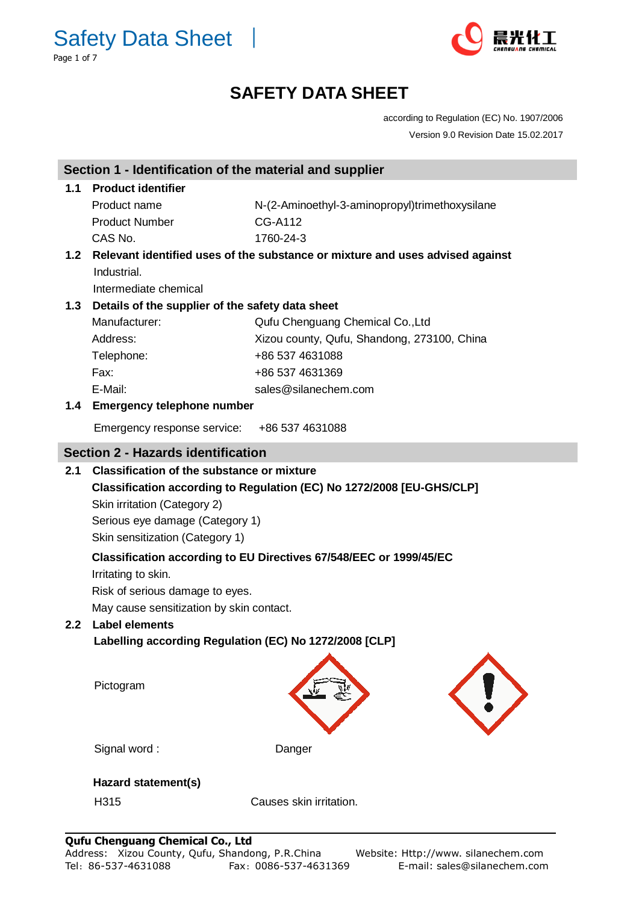Safety Data Sheet │ Page 1 of 7



## **SAFETY DATA SHEET**

according to Regulation (EC) No. 1907/2006 Version 9.0 Revision Date 15.02.2017

|                                                                                                       | Section 1 - Identification of the material and supplier            |                                                |  |  |                                                                    |
|-------------------------------------------------------------------------------------------------------|--------------------------------------------------------------------|------------------------------------------------|--|--|--------------------------------------------------------------------|
| 1.1                                                                                                   | <b>Product identifier</b>                                          |                                                |  |  |                                                                    |
|                                                                                                       | Product name                                                       | N-(2-Aminoethyl-3-aminopropyl)trimethoxysilane |  |  |                                                                    |
|                                                                                                       | <b>Product Number</b>                                              | <b>CG-A112</b>                                 |  |  |                                                                    |
|                                                                                                       | CAS No.                                                            | 1760-24-3                                      |  |  |                                                                    |
| Relevant identified uses of the substance or mixture and uses advised against<br>1.2                  |                                                                    |                                                |  |  |                                                                    |
|                                                                                                       | Industrial.                                                        |                                                |  |  |                                                                    |
|                                                                                                       | Intermediate chemical                                              |                                                |  |  |                                                                    |
| 1.3                                                                                                   | Details of the supplier of the safety data sheet                   |                                                |  |  |                                                                    |
|                                                                                                       | Manufacturer:                                                      | Qufu Chenguang Chemical Co., Ltd               |  |  |                                                                    |
|                                                                                                       | Address:                                                           | Xizou county, Qufu, Shandong, 273100, China    |  |  |                                                                    |
|                                                                                                       | Telephone:                                                         | +86 537 4631088                                |  |  |                                                                    |
|                                                                                                       | Fax:                                                               | +86 537 4631369                                |  |  |                                                                    |
|                                                                                                       | E-Mail:                                                            | sales@silanechem.com                           |  |  |                                                                    |
|                                                                                                       | 1.4 Emergency telephone number                                     |                                                |  |  |                                                                    |
|                                                                                                       | Emergency response service:                                        | +86 537 4631088                                |  |  |                                                                    |
|                                                                                                       | <b>Section 2 - Hazards identification</b>                          |                                                |  |  |                                                                    |
| 2.1                                                                                                   | <b>Classification of the substance or mixture</b>                  |                                                |  |  |                                                                    |
| Classification according to Regulation (EC) No 1272/2008 [EU-GHS/CLP]<br>Skin irritation (Category 2) |                                                                    |                                                |  |  |                                                                    |
|                                                                                                       |                                                                    |                                                |  |  | Serious eye damage (Category 1)<br>Skin sensitization (Category 1) |
|                                                                                                       |                                                                    |                                                |  |  |                                                                    |
|                                                                                                       | Classification according to EU Directives 67/548/EEC or 1999/45/EC |                                                |  |  |                                                                    |
|                                                                                                       | Irritating to skin.                                                |                                                |  |  |                                                                    |
|                                                                                                       | Risk of serious damage to eyes.                                    |                                                |  |  |                                                                    |
|                                                                                                       | May cause sensitization by skin contact.                           |                                                |  |  |                                                                    |
| 2.2 <sub>2</sub>                                                                                      | <b>Label elements</b>                                              |                                                |  |  |                                                                    |
|                                                                                                       | Labelling according Regulation (EC) No 1272/2008 [CLP]             |                                                |  |  |                                                                    |
|                                                                                                       |                                                                    |                                                |  |  |                                                                    |
|                                                                                                       |                                                                    |                                                |  |  |                                                                    |
|                                                                                                       | Pictogram                                                          |                                                |  |  |                                                                    |
|                                                                                                       |                                                                    |                                                |  |  |                                                                    |
|                                                                                                       |                                                                    |                                                |  |  |                                                                    |
|                                                                                                       | Signal word:                                                       | Danger                                         |  |  |                                                                    |
|                                                                                                       |                                                                    |                                                |  |  |                                                                    |
|                                                                                                       | Hazard statement(s)                                                |                                                |  |  |                                                                    |
|                                                                                                       | H315                                                               | Causes skin irritation.                        |  |  |                                                                    |
|                                                                                                       |                                                                    |                                                |  |  |                                                                    |
|                                                                                                       |                                                                    |                                                |  |  |                                                                    |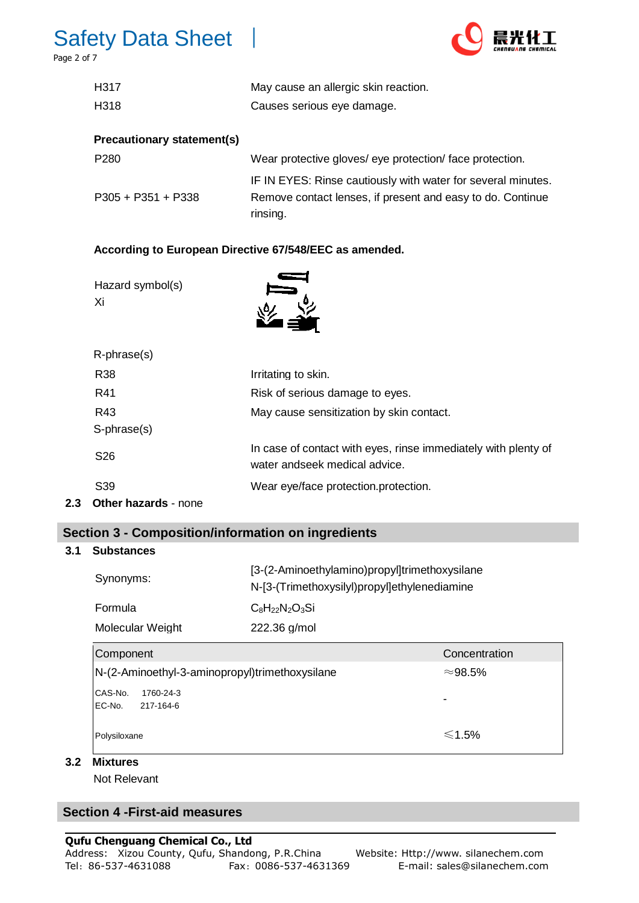# Safety Data Sheet │

Page 2 of 7



| H317                              | May cause an allergic skin reaction. |
|-----------------------------------|--------------------------------------|
| H318                              | Causes serious eye damage.           |
| <b>Precautionary statement(s)</b> |                                      |

| P <sub>280</sub>     | Wear protective gloves/ eye protection/ face protection.     |
|----------------------|--------------------------------------------------------------|
|                      | IF IN EYES: Rinse cautiously with water for several minutes. |
| $P305 + P351 + P338$ | Remove contact lenses, if present and easy to do. Continue   |
|                      | rinsing.                                                     |

## **According to European Directive 67/548/EEC as amended.**

| Hazard symbol(s)<br>Xi      |                                                                                                 |
|-----------------------------|-------------------------------------------------------------------------------------------------|
| $R$ -phrase $(s)$           |                                                                                                 |
| R38                         | Irritating to skin.                                                                             |
| R41                         | Risk of serious damage to eyes.                                                                 |
| R43                         | May cause sensitization by skin contact.                                                        |
| S-phrase(s)                 |                                                                                                 |
| S <sub>26</sub>             | In case of contact with eyes, rinse immediately with plenty of<br>water andseek medical advice. |
| S39                         | Wear eye/face protection.protection.                                                            |
| <b>Other hazards - none</b> |                                                                                                 |

## **Section 3 - Composition/information on ingredients**

#### **3.1 Substances**

 $2.3$ 

| Synonyms:        | [3-(2-Aminoethylamino)propyl]trimethoxysilane<br>N-[3-(Trimethoxysilyl)propyl]ethylenediamine |  |
|------------------|-----------------------------------------------------------------------------------------------|--|
| Formula          | $C_8H_{22}N_2O_3Si$                                                                           |  |
| Molecular Weight | 222.36 g/mol                                                                                  |  |

| Component                                      | Concentration   |
|------------------------------------------------|-----------------|
| N-(2-Aminoethyl-3-aminopropyl)trimethoxysilane | $\approx$ 98.5% |
| CAS-No.<br>1760-24-3<br>EC-No.<br>217-164-6    | -               |
| Polysiloxane                                   | $\leq 1.5\%$    |

#### **3.2 Mixtures**

Not Relevant

## **Section 4 -First-aid measures**

## **Qufu Chenguang Chemical Co., Ltd**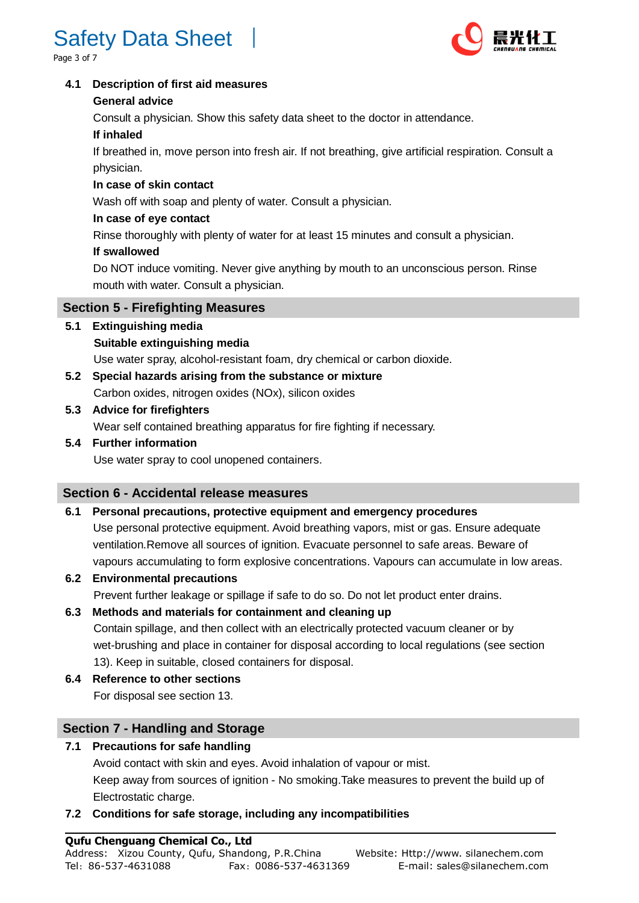# Safety Data Sheet

age 3 of  $7$ 



#### **4.1 Description of first aid measures**

#### **General advice**

Consult a physician. Show this safety data sheet to the doctor in attendance.

## **If inhaled**

 If breathed in, move person into fresh air. If not breathing, give artificial respiration. Consult a physician.

## **In case of skin contact**

Wash off with soap and plenty of water. Consult a physician.

## **In case of eye contact**

Rinse thoroughly with plenty of water for at least 15 minutes and consult a physician.

## **If swallowed**

 Do NOT induce vomiting. Never give anything by mouth to an unconscious person. Rinse mouth with water. Consult a physician.

## **Section 5 - Firefighting Measures**

## **5.1 Extinguishing media**

## **Suitable extinguishing media**

Use water spray, alcohol-resistant foam, dry chemical or carbon dioxide.

**5.2 Special hazards arising from the substance or mixture** Carbon oxides, nitrogen oxides (NOx), silicon oxides

## **5.3 Advice for firefighters**

Wear self contained breathing apparatus for fire fighting if necessary.

## **5.4 Further information**

Use water spray to cool unopened containers.

## **Section 6 - Accidental release measures**

## **6.1 Personal precautions, protective equipment and emergency procedures**

 Use personal protective equipment. Avoid breathing vapors, mist or gas. Ensure adequate ventilation.Remove all sources of ignition. Evacuate personnel to safe areas. Beware of vapours accumulating to form explosive concentrations. Vapours can accumulate in low areas.

- **6.2 Environmental precautions** Prevent further leakage or spillage if safe to do so. Do not let product enter drains.
- **6.3 Methods and materials for containment and cleaning up** Contain spillage, and then collect with an electrically protected vacuum cleaner or by wet-brushing and place in container for disposal according to local regulations (see section 13). Keep in suitable, closed containers for disposal.
- **6.4 Reference to other sections** For disposal see section 13.

## **Section 7 - Handling and Storage**

## **7.1 Precautions for safe handling**

 Avoid contact with skin and eyes. Avoid inhalation of vapour or mist. Keep away from sources of ignition - No smoking.Take measures to prevent the build up of Electrostatic charge.

## **7.2 Conditions for safe storage, including any incompatibilities**

#### **Qufu Chenguang Chemical Co., Ltd**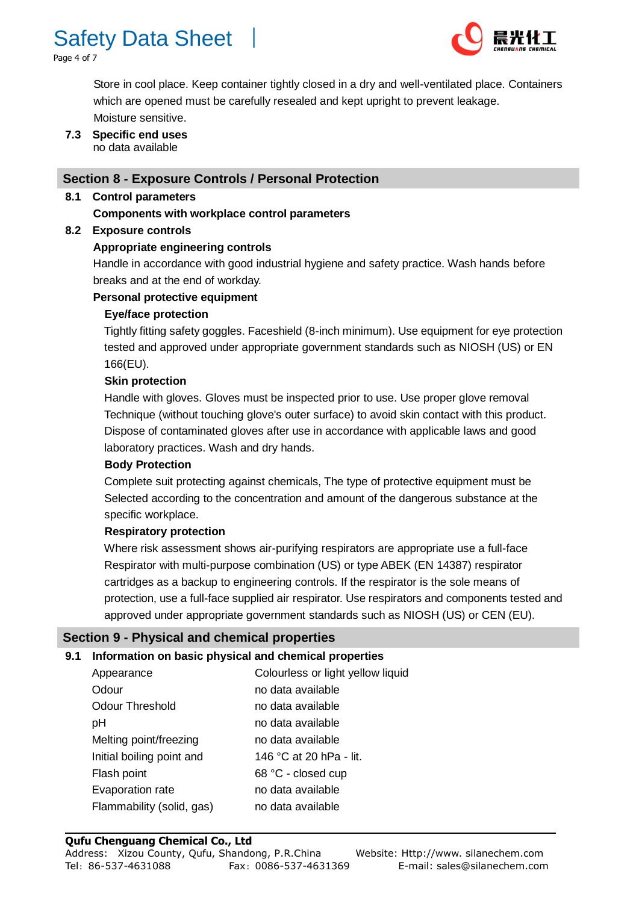

Page 4 of 7



 Store in cool place. Keep container tightly closed in a dry and well-ventilated place. Containers which are opened must be carefully resealed and kept upright to prevent leakage. Moisture sensitive.

**7.3 Specific end uses** no data available

#### **Section 8 - Exposure Controls / Personal Protection**

#### **8.1 Control parameters**

#### **Components with workplace control parameters**

#### **8.2 Exposure controls**

#### **Appropriate engineering controls**

 Handle in accordance with good industrial hygiene and safety practice. Wash hands before breaks and at the end of workday.

#### **Personal protective equipment**

#### **Eye/face protection**

 Tightly fitting safety goggles. Faceshield (8-inch minimum). Use equipment for eye protection tested and approved under appropriate government standards such as NIOSH (US) or EN 166(EU).

#### **Skin protection**

 Handle with gloves. Gloves must be inspected prior to use. Use proper glove removal Technique (without touching glove's outer surface) to avoid skin contact with this product. Dispose of contaminated gloves after use in accordance with applicable laws and good laboratory practices. Wash and dry hands.

#### **Body Protection**

 Complete suit protecting against chemicals, The type of protective equipment must be Selected according to the concentration and amount of the dangerous substance at the specific workplace.

#### **Respiratory protection**

 Where risk assessment shows air-purifying respirators are appropriate use a full-face Respirator with multi-purpose combination (US) or type ABEK (EN 14387) respirator cartridges as a backup to engineering controls. If the respirator is the sole means of protection, use a full-face supplied air respirator. Use respirators and components tested and approved under appropriate government standards such as NIOSH (US) or CEN (EU).

#### **Section 9 - Physical and chemical properties**

#### **9.1 Information on basic physical and chemical properties**

| Appearance                | Colourless or light yellow liquid |
|---------------------------|-----------------------------------|
| Odour                     | no data available                 |
| <b>Odour Threshold</b>    | no data available                 |
| pH                        | no data available                 |
| Melting point/freezing    | no data available                 |
| Initial boiling point and | 146 °C at 20 hPa - lit.           |
| Flash point               | 68 °C - closed cup                |
| Evaporation rate          | no data available                 |
| Flammability (solid, gas) | no data available                 |

#### **Qufu Chenguang Chemical Co., Ltd**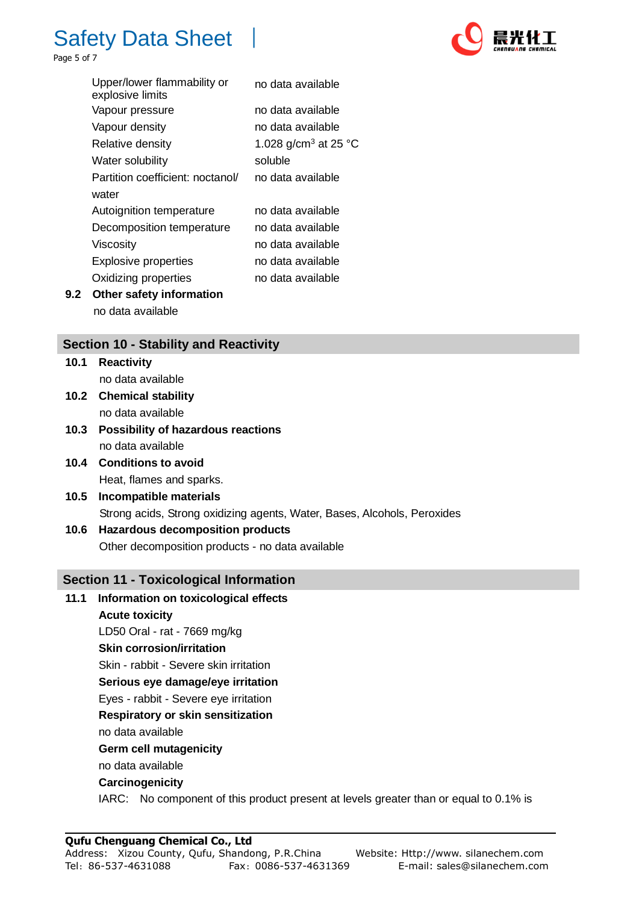

Page 5 of 7

|     | Upper/lower flammability or<br>explosive limits | no data available                |
|-----|-------------------------------------------------|----------------------------------|
|     | Vapour pressure                                 | no data available                |
|     | Vapour density                                  | no data available                |
|     | Relative density                                | 1.028 g/cm <sup>3</sup> at 25 °C |
|     | Water solubility                                | soluble                          |
|     | Partition coefficient: noctanol/                | no data available                |
|     | water                                           |                                  |
|     | Autoignition temperature                        | no data available                |
|     | Decomposition temperature                       | no data available                |
|     | Viscosity                                       | no data available                |
|     | <b>Explosive properties</b>                     | no data available                |
|     | Oxidizing properties                            | no data available                |
| 9.2 | Other safety information                        |                                  |

no data available

## **Section 10 - Stability and Reactivity**

**10.1 Reactivity** no data available

- **10.2 Chemical stability** no data available
- **10.3 Possibility of hazardous reactions** no data available
- **10.4 Conditions to avoid** Heat, flames and sparks.
- **10.5 Incompatible materials** Strong acids, Strong oxidizing agents, Water, Bases, Alcohols, Peroxides
- **10.6 Hazardous decomposition products** Other decomposition products - no data available

#### **Section 11 - Toxicological Information**

## **11.1 Information on toxicological effects Acute toxicity** LD50 Oral - rat - 7669 mg/kg **Skin corrosion/irritation** Skin - rabbit - Severe skin irritation  **Serious eye damage/eye irritation** Eyes - rabbit - Severe eye irritation  **Respiratory or skin sensitization** no data available  **Germ cell mutagenicity** no data available  **Carcinogenicity** IARC: No component of this product present at levels greater than or equal to 0.1% is

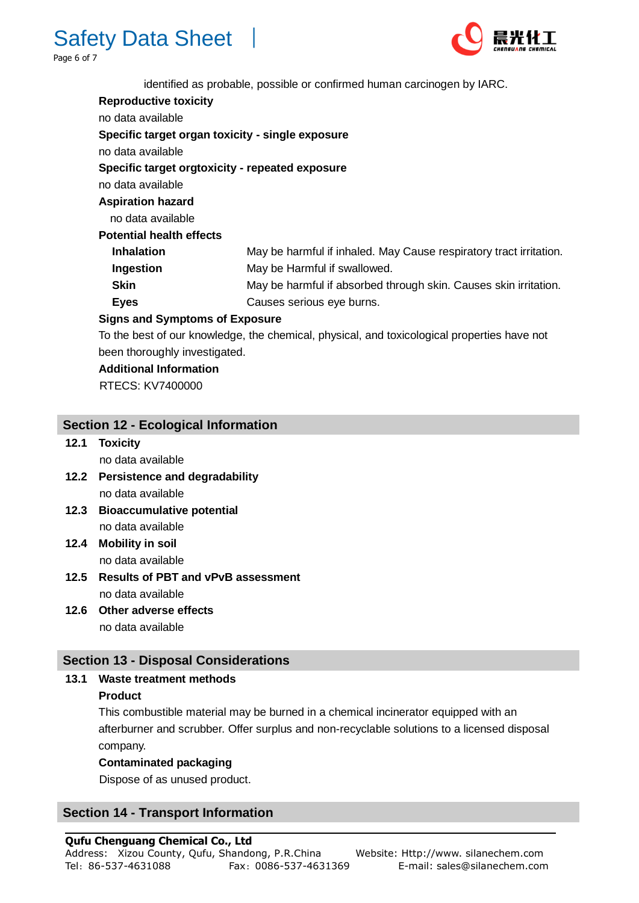



identified as probable, possible or confirmed human carcinogen by IARC.

| <b>Reproductive toxicity</b>                     |                                                                                            |  |  |  |
|--------------------------------------------------|--------------------------------------------------------------------------------------------|--|--|--|
| no data available                                |                                                                                            |  |  |  |
| Specific target organ toxicity - single exposure |                                                                                            |  |  |  |
| no data available                                |                                                                                            |  |  |  |
| Specific target orgtoxicity - repeated exposure  |                                                                                            |  |  |  |
| no data available                                |                                                                                            |  |  |  |
| <b>Aspiration hazard</b>                         |                                                                                            |  |  |  |
| no data available                                |                                                                                            |  |  |  |
| <b>Potential health effects</b>                  |                                                                                            |  |  |  |
| <b>Inhalation</b>                                | May be harmful if inhaled. May Cause respiratory tract irritation.                         |  |  |  |
| Ingestion                                        | May be Harmful if swallowed.                                                               |  |  |  |
| Skin                                             | May be harmful if absorbed through skin. Causes skin irritation.                           |  |  |  |
| <b>Eyes</b>                                      | Causes serious eye burns.                                                                  |  |  |  |
| <b>Signs and Symptoms of Exposure</b>            |                                                                                            |  |  |  |
|                                                  | To the best of our knowledge, the shamical physical, and texicological proporting have not |  |  |  |

To the best of our knowledge, the chemical, physical, and toxicological properties have not

 **Additional Information**

RTECS: KV7400000

## **Section 12 - Ecological Information**

been thoroughly investigated.

**12.1 Toxicity**

no data available

- **12.2 Persistence and degradability** no data available
- **12.3 Bioaccumulative potential** no data available
- **12.4 Mobility in soil** no data available
- **12.5 Results of PBT and vPvB assessment** no data available
- **12.6 Other adverse effects** no data available

#### **Section 13 - Disposal Considerations**

#### **13.1 Waste treatment methods**

#### **Product**

This combustible material may be burned in a chemical incinerator equipped with an afterburner and scrubber. Offer surplus and non-recyclable solutions to a licensed disposal company.

#### **Contaminated packaging**

Dispose of as unused product.

## **Section 14 - Transport Information**

## **Qufu Chenguang Chemical Co., Ltd**